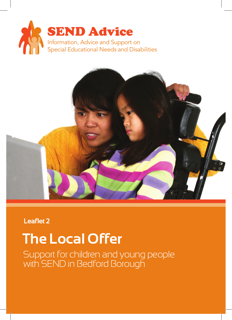



**Leaflet 2**

# **The Local Offer**

Support for children and young people with SEND in Bedford Borough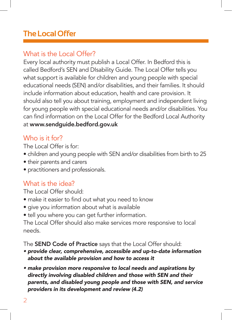## **The Local Offer**

#### What is the Local Offer?

Every local authority must publish a Local Offer. In Bedford this is called Bedford's SEN and DIsability Guide. The Local Offer tells you what support is available for children and young people with special educational needs (SEN) and/or disabilities, and their families. It should include information about education, health and care provision. It should also tell you about training, employment and independent living for young people with special educational needs and/or disabilities. You can find information on the Local Offer for the Bedford Local Authority at www.sendguide.bedford.gov.uk

### Who is it for?

The Local Offer is for:

- children and young people with SEN and/or disabilities from birth to 25
- their parents and carers
- practitioners and professionals.

#### What is the idea?

The Local Offer should:

- make it easier to find out what you need to know
- give you information about what is available
- tell you where you can get further information.

The Local Offer should also make services more responsive to local needs.

The **SEND Code of Practice** says that the Local Offer should:

- *provide clear, comprehensive, accessible and up-to-date information about the available provision and how to access it*
- *make provision more responsive to local needs and aspirations by directly involving disabled children and those with SEN and their parents, and disabled young people and those with SEN, and service providers in its development and review (4.2)*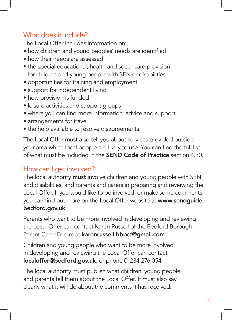### What does it include?

The Local Offer includes information on:

- how children and young peoples' needs are identified
- how their needs are assessed
- the special educational, health and social care provision for children and young people with SEN or disabilities
- opportunities for training and employment
- support for independent living
- how provision is funded
- leisure activities and support groups
- where you can find more information, advice and support
- arrangements for travel
- the help available to resolve disagreements.

The Local Offer must also tell you about services provided outside your area which local people are likely to use. You can find the full list of what must be included in the SEND Code of Practice section 4.30.

#### How can I get involved?

The local authority must involve children and young people with SEN and disabilities, and parents and carers in preparing and reviewing the Local Offer. If you would like to be involved, or make some comments, you can find out more on the Local Offer website at www.sendguide. bedford.gov.uk.

Parents who want to be more involved in developing and reviewing the Local Offer can contact Karen Russell of the Bedford Borough Parent Carer Forum at karenrussell.bbpcf@gmail.com

Children and young people who want to be more involved in developing and reviewing the Local Offer can contact localoffer@bedford.gov.uk, or phone 01234 276 054.

The local authority must publish what children, young people and parents tell them about the Local Offer. It must also say clearly what it will do about the comments it has received.